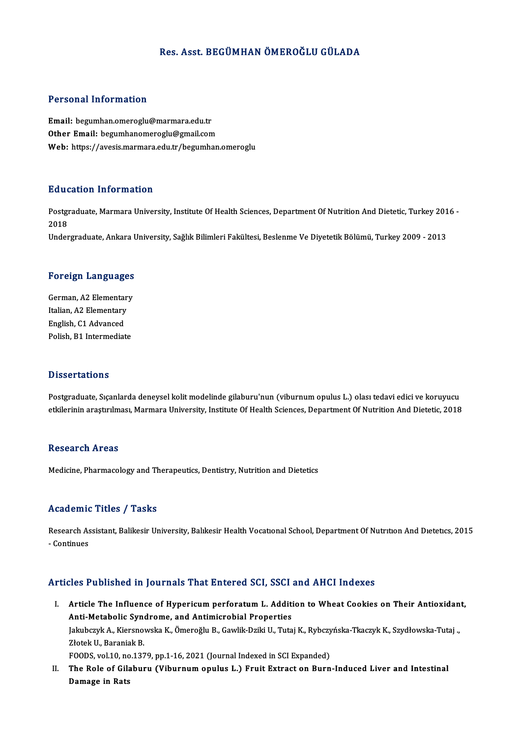## Res. Asst. BEGÜMHAN ÖMEROĞLU GÜLADA

## Personal Information

Email: begumhan.omeroglu@marmara.edu.tr Other Email: begumhanomeroglu@gmail.com Web: https://avesis.marmara.edu.tr/begumhan.omeroglu

## Education Information

**Education Information**<br>Postgraduate, Marmara University, Institute Of Health Sciences, Department Of Nutrition And Dietetic, Turkey 2016 -<br>2018 Huut<br>Postgi<br>2018<br>Under 2018<br>Undergraduate, Ankara University, Sağlık Bilimleri Fakültesi, Beslenme Ve Diyetetik Bölümü, Turkey 2009 - 2013

# <sub>Undergraduate, Ankara t<br>Foreign Languages</sub>

Foreign Languages<br>German, A2 Elementary<br>Italian, A2 Elementary Italian, A2 Elementary<br>Italian, A2 Elementary<br>English C1 Advanced German, A2 Elementar<br>Italian, A2 Elementary<br>English, C1 Advanced<br>Pelish, P1 Intermediat Italian, A2 Elementary<br>English, C1 Advanced<br>Polish, B1 Intermediate Polish, B1 Intermediate<br>Dissertations

Dissertations<br>Postgraduate, Sıçanlarda deneysel kolit modelinde gilaburu'nun (viburnum opulus L.) olası tedavi edici ve koruyucu<br>etkilorinin arastırılması, Marmara University, Institute Of Health Sciences, Denartment Of Nu e isseer carre ne<br>Postgraduate, Sıçanlarda deneysel kolit modelinde gilaburu'nun (viburnum opulus L.) olası tedavi edici ve koruyucu<br>etkilerinin araştırılması, Marmara University, Institute Of Health Sciences, Department O etkilerinin araştırılması, Marmara University, Institute Of Health Sciences, Department Of Nutrition And Dietetic, 2018<br>Research Areas

Medicine, Pharmacology and Therapeutics, Dentistry, Nutrition and Dietetics

## Academic Titles / Tasks

Academic Titles / Tasks<br>Research Assistant, Balikesir University, Balıkesir Health Vocatıonal School, Department Of Nutrıtıon And Dıetetıcs, 2015<br>Continues Research<br>As<br>- Continues

## Articles Published in Journals That Entered SCI, SSCI and AHCI Indexes

- rticles Published in Journals That Entered SCI, SSCI and AHCI Indexes<br>I. Article The Influence of Hypericum perforatum L. Addition to Wheat Cookies on Their Antioxidant,<br>Anti Metabelis Sundreme, and Antimiarabial Prenertie Article The Influence of Hypericum perforatum L. Additi<br>Anti-Metabolic Syndrome, and Antimicrobial Properties<br>Jahrberryk A. Kierenoweln K. Ömeneğlu B. Cowlik Drilti II. Tuta Article The Influence of Hypericum perforatum L. Addition to Wheat Cookies on Their Antioxidan<br>Anti-Metabolic Syndrome, and Antimicrobial Properties<br>Jakubczyk A., Kiersnowska K., Ömeroğlu B., Gawlik-Dziki U., Tutaj K., Ryb Anti-Metabolic Syne<br>Jakubczyk A., Kiersno<br>Złotek U., Baraniak B.<br>EOODS. val 10. po 127 Jakubczyk A., Kiersnowska K., Ömeroğlu B., Gawlik-Dziki U., Tutaj K., Rybczy<br>Złotek U., Baraniak B.<br>FOODS, vol.10, no.1379, pp.1-16, 2021 (Journal Indexed in SCI Expanded)<br>The Bole of Cilohum: (Viburnum opulus J.) Eruit Ex Złotek U., Baraniak B.<br>FOODS, vol.10, no.1379, pp.1-16, 2021 (Journal Indexed in SCI Expanded)<br>II. The Role of Gilaburu (Viburnum opulus L.) Fruit Extract on Burn-Induced Liver and Intestinal<br>Damage in Rats
- FOODS, vol.10, no<br>The Role of Gila<br>Damage in Rats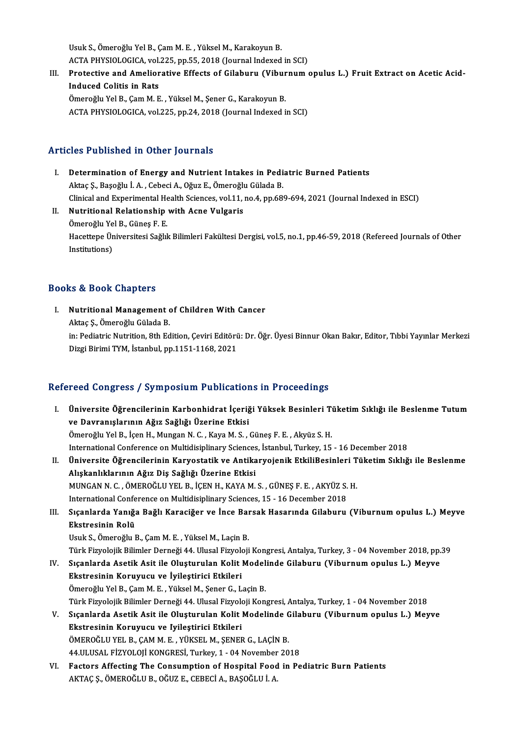UsukS.,ÖmeroğluYelB.,ÇamM.E. ,YükselM.,KarakoyunB. Usuk S., Ömeroğlu Yel B., Çam M. E. , Yüksel M., Karakoyun B.<br>ACTA PHYSIOLOGICA, vol.225, pp.55, 2018 (Journal Indexed in SCI)<br>Protestive and Amelianative Effects of Gilabunu (Vibunnum 4

Usuk S., Ömeroğlu Yel B., Çam M. E. , Yüksel M., Karakoyun B.<br>ACTA PHYSIOLOGICA, vol.225, pp.55, 2018 (Journal Indexed in SCI)<br>III. Protective and Ameliorative Effects of Gilaburu (Viburnum opulus L.) Fruit Extract on Acet ACTA PHYSIOLOGICA, vol.<br>Protective and Amelior<br>Induced Colitis in Rats<br>Ömereğlu Yel B. Cam M. E Protective and Ameliorative Effects of Gilaburu (Vibur<br>Induced Colitis in Rats<br>Ömeroğlu Yel B., Çam M. E. , Yüksel M., Şener G., Karakoyun B.<br>ACTA PHYSIOLOGICA YRL225 nn 24, 2018 (Journal Indoved i Induced Colitis in Rats<br>Ömeroğlu Yel B., Çam M. E. , Yüksel M., Şener G., Karakoyun B.<br>ACTA PHYSIOLOGICA, vol.225, pp.24, 2018 (Journal Indexed in SCI)

## Articles Published in Other Journals

- I. Determination of Energy and Nutrient Intakes in Pediatric Burned Patients Aktaç Ş.,Başoğlu İ.A. ,CebeciA.,OğuzE.,ÖmeroğluGüladaB. Determination of Energy and Nutrient Intakes in Pediatric Burned Patients<br>Aktaç Ş., Başoğlu İ. A. , Cebeci A., Oğuz E., Ömeroğlu Gülada B.<br>Clinical and Experimental Health Sciences, vol.11, no.4, pp.689-694, 2021 (Journal II. Nutritional Relationship with Acne Vulgaris
- Clinical and Experimental He<br>Nutritional Relationship<br>Ömeroğlu Yel B., Güneş F. E.<br>Hassttana Üniversitesi Sağlıl Hacettepe Üniversitesi Sağlık Bilimleri Fakültesi Dergisi, vol.5, no.1, pp.46-59, 2018 (Refereed Journals of Other<br>Institutions) Ömeroğlu Yel B., Güneş F. E.

## Books&Book Chapters

ooks & Book Chapters<br>I. Nutritional Management of Children With Cancer<br>Altre S. Ömereğlu Cülade P As & Doort Ghapters<br>Nutritional Management<br>Aktaç Ş., Ömeroğlu Gülada B.<br>in: Podiatris Nutrition, <sup>9th Ed</sup>

Nutritional Management of Children With Cancer<br>Aktaç Ş., Ömeroğlu Gülada B.<br>in: Pediatric Nutrition, 8th Edition, Çeviri Editörü: Dr. Öğr. Üyesi Binnur Okan Bakır, Editor, Tıbbi Yayınlar Merkezi<br>Dirgi Birimi TYM, İstanbul, Aktaç Ş., Ömeroğlu Gülada B.<br>in: Pediatric Nutrition, 8th Edition, Çeviri Editörü<br>Dizgi Birimi TYM, İstanbul, pp.1151-1168, 2021

## Dizgi Birimi TYM, İstanbul, pp.1151-1168, 2021<br>Refereed Congress / Symposium Publications in Proceedings

efereed Congress / Symposium Publications in Proceedings<br>I. – Üniversite Öğrencilerinin Karbonhidrat İçeriği Yüksek Besinleri Tüketim Sıklığı ile Beslenme Tutum<br>1980 - Ve Dayranıslanının Ağız Sağlığı Üzerine Etkisi ve Davranışlarının Ağız Sağlığı Üzerine Etkisi<br>Ömeroğlu Yel B., İçen H., Mungan N. C. , Kaya M. S. , Güneş F. E. , Akyüz S. H. Üniversite Öğrencilerinin Karbonhidrat İçeriği Yüksek Besinleri Ti<br>ve Davranışlarının Ağız Sağlığı Üzerine Etkisi<br>Ömeroğlu Yel B., İçen H., Mungan N. C. , Kaya M. S. , Güneş F. E. , Akyüz S. H.<br>International Conference on International Conference on Multidisiplinary Sciences, İstanbul, Turkey, 15 - 16 December 2018 Ömeroğlu Yel B., İçen H., Mungan N. C. , Kaya M. S. , Güneş F. E. , Akyüz S. H.<br>International Conference on Multidisiplinary Sciences, İstanbul, Turkey, 15 - 16 December 2018<br>II. Üniversite Öğrencilerinin Karyostatik ve An Alışkanlıklarının Ağız Diş Sağlığı Üzerine Etkisi Üniversite Öğrencilerinin Karyostatik ve Antikaryojenik EtkiliBesinleri T<br>Alışkanlıklarının Ağız Diş Sağlığı Üzerine Etkisi<br>MUNGAN N. C. , ÖMEROĞLU YEL B., İÇEN H., KAYA M. S. , GÜNEŞ F. E. , AKYÜZ S. H.<br>International Conf MUNGAN N. C., ÖMEROĞLU YEL B., İÇEN H., KAYA M. S., GÜNEŞ F. E., AKYÜZ S. H.<br>International Conference on Multidisiplinary Sciences, 15 - 16 December 2018 MUNGAN N. C. , ÖMEROĞLU YEL B., İÇEN H., KAYA M. S. , GÜNEŞ F. E. , AKYÜZ S. H.<br>International Conference on Multidisiplinary Sciences, 15 - 16 December 2018<br>III. Sıçanlarda Yanığa Bağlı Karaciğer ve İnce Barsak Hasarın International Confe<br>Sıçanlarda Yanığı<br>Ekstresinin Rolü<br><sup>Houk S. Ömoroğlu I</sup> Sıçanlarda Yanığa Bağlı Karaciğer ve İnce Baı<br>Ekstresinin Rolü<br>Usuk S., Ömeroğlu B., Çam M. E. , Yüksel M., Laçin B.<br>Türk Eirveleijk Bilimler Derneği 44 Hlusel Eirveleij <mark>Ekstresinin Rolü</mark><br>Usuk S., Ömeroğlu B., Çam M. E. , Yüksel M., Laçin B.<br>Türk Fizyolojik Bilimler Derneği 44. Ulusal Fizyoloji Kongresi, Antalya, Turkey, 3 - 04 November 2018, pp.39<br>Sısanlarda Asetik Asit ile Olusturulan K Usuk S., Ömeroğlu B., Çam M. E. , Yüksel M., Laçin B.<br>Türk Fizyolojik Bilimler Derneği 44. Ulusal Fizyoloji Kongresi, Antalya, Turkey, 3 - 04 November 2018, pp.<br>IV. Sıçanlarda Asetik Asit ile Oluşturulan Kolit Modelind Türk Fizyolojik Bilimler Derneği 44. Ulusal Fizyolo<br>Sıçanlarda Asetik Asit ile Oluşturulan Kolit |<br>Ekstresinin Koruyucu ve İyileştirici Etkileri<br>Ömereğlu Yel B. Cam M. E. Yülrel M. Sener G. I IV. Sıçanlarda Asetik Asit ile Oluşturulan Kolit Modelinde Gilaburu (Viburnum opulus L.) Meyve<br>Ekstresinin Koruyucu ve İyileştirici Etkileri<br>Ömeroğlu Yel B., Çam M. E. , Yüksel M., Şener G., Laçin B. Ekstresinin Koruyucu ve İyileştirici Etkileri<br>Ömeroğlu Yel B., Çam M. E. , Yüksel M., Şener G., Laçin B.<br>Türk Fizyolojik Bilimler Derneği 44. Ulusal Fizyoloji Kongresi, Antalya, Turkey, 1 - 04 November 2018<br>Sısanlarda Aset Ömeroğlu Yel B., Çam M. E. , Yüksel M., Şener G., Laçin B.<br>Türk Fizyolojik Bilimler Derneği 44. Ulusal Fizyoloji Kongresi, Antalya, Turkey, 1 - 04 November 2018<br>V. Sıçanlarda Asetik Asit ile Oluşturulan Kolit Modelinde Türk Fizyolojik Bilimler Derneği 44. Ulusal Fizyolo<br>Sıçanlarda Asetik Asit ile Oluşturulan Kolit |<br>Ekstresinin Koruyucu ve Iyileştirici Etkileri<br>ÖMEROČLU VEL B. CAMM E. VÜKSELM SENET V. Sıçanlarda Asetik Asit ile Oluşturulan Kolit Modelinde Gilaburu (Viburnum opulus L.) Meyve<br>Ekstresinin Koruyucu ve Iyileştirici Etkileri<br>ÖMEROĞLU YEL B., ÇAM M. E. , YÜKSEL M., ŞENER G., LAÇİN B. Ekstresinin Koruyucu ve Iyileştirici Etkileri<br>ÖMEROĞLU YEL B., ÇAM M. E. , YÜKSEL M., ŞENER G., LAÇİN B.<br>44.ULUSAL FİZYOLOJİ KONGRESİ, Turkey, 1 - 04 November 2018<br>Fastara Affasting The Consumntion of Hasnital Eaad in Pa VI. Factors Affecting The Consumption of Hospital Food in Pediatric Burn Patients 44.ULUSAL FİZYOLOJİ KONGRESİ, Turkey, 1 - 04 November<br>Factors Affectin<mark>g The Consumption of Hospital Foo</mark>d<br>AKTAÇ Ş., ÖMEROĞLU B., OĞUZ E., CEBECİ A., BAŞOĞLU İ. A.